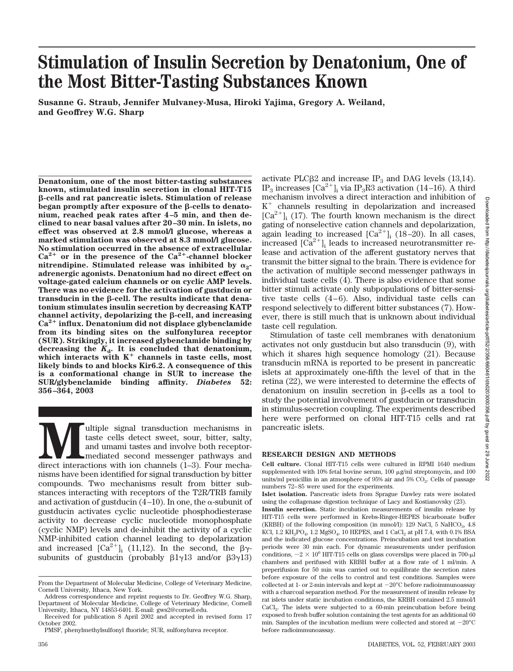# **Stimulation of Insulin Secretion by Denatonium, One of the Most Bitter-Tasting Substances Known**

**Susanne G. Straub, Jennifer Mulvaney-Musa, Hiroki Yajima, Gregory A. Weiland, and Geoffrey W.G. Sharp**

**Denatonium, one of the most bitter-tasting substances known, stimulated insulin secretion in clonal HIT-T15 -cells and rat pancreatic islets. Stimulation of release** began promptly after exposure of the **B**-cells to denato**nium, reached peak rates after 4–5 min, and then declined to near basal values after 20–30 min. In islets, no effect was observed at 2.8 mmol/l glucose, whereas a marked stimulation was observed at 8.3 mmol/l glucose. No stimulation occurred in the absence of extracellular**  $Ca^{2+}$  or in the presence of the  $Ca^{2+}$ -channel blocker nitrendipine. Stimulated release was inhibited by  $\alpha_2$ **adrenergic agonists. Denatonium had no direct effect on voltage-gated calcium channels or on cyclic AMP levels. There was no evidence for the activation of gustducin or** transducin in the  $\beta$ -cell. The results indicate that dena**tonium stimulates insulin secretion by decreasing KATP channel activity, depolarizing the β-cell, and increasing Ca2**- **influx. Denatonium did not displace glybenclamide from its binding sites on the sulfonylurea receptor (SUR). Strikingly, it increased glybenclamide binding by decreasing the** *K***d. It is concluded that denatonium,** which interacts with K<sup>+</sup> channels in taste cells, most **likely binds to and blocks Kir6.2. A consequence of this is a conformational change in SUR to increase the SUR/glybenclamide binding affinity.** *Diabetes* **52: 356–364, 2003**

Multiple signal transduction mechanisms in taste cells detect sweet, sour, bitter, salty, and umami tastes and involve both receptor-<br>mediated second messenger pathways and direct interactions with ion channels (1–3). Four taste cells detect sweet, sour, bitter, salty, and umami tastes and involve both receptormediated second messenger pathways and nisms have been identified for signal transduction by bitter compounds. Two mechanisms result from bitter substances interacting with receptors of the T2R/TRB family and activation of gustducin (4–10). In one, the  $\alpha$ -subunit of gustducin activates cyclic nucleotide phosphodiesterase activity to decrease cyclic nucleotide monophosphate (cyclic NMP) levels and de-inhibit the activity of a cyclic NMP-inhibited cation channel leading to depolarization and increased  $[Ca^{2+}]_i$  (11,12). In the second, the  $\beta\gamma$ subunits of gustducin (probably  $\beta 1\gamma 13$  and/or  $\beta 3\gamma 13$ )

activate PLC $\beta$ 2 and increase IP<sub>3</sub> and DAG levels (13,14). IP<sub>3</sub> increases  $\left[Ca^{2+}\right]_i$  via IP<sub>3</sub>R<sub>3</sub> activation (14–16). A third mechanism involves a direct interaction and inhibition of K- channels resulting in depolarization and increased  $\lbrack Ca^{2+}\rbrack_i$  (17). The fourth known mechanism is the direct gating of nonselective cation channels and depolarization, again leading to increased  $[Ca^{2+}]_i$  (18–20). In all cases, increased  $[\text{Ca}^{2+}]_i$  leads to increased neurotransmitter release and activation of the afferent gustatory nerves that transmit the bitter signal to the brain. There is evidence for the activation of multiple second messenger pathways in individual taste cells (4). There is also evidence that some bitter stimuli activate only subpopulations of bitter-sensitive taste cells (4–6). Also, individual taste cells can respond selectively to different bitter substances (7). However, there is still much that is unknown about individual taste cell regulation.

Stimulation of taste cell membranes with denatonium activates not only gustducin but also transducin (9), with which it shares high sequence homology (21). Because transducin mRNA is reported to be present in pancreatic islets at approximately one-fifth the level of that in the retina (22), we were interested to determine the effects of denatonium on insulin secretion in  $\beta$ -cells as a tool to study the potential involvement of gustducin or transducin in stimulus-secretion coupling. The experiments described here were performed on clonal HIT-T15 cells and rat pancreatic islets.

### **RESEARCH DESIGN AND METHODS**

**Cell culture.** Clonal HIT-T15 cells were cultured in RPMI 1640 medium supplemented with 10% fetal bovine serum,  $100 \mu g/ml$  streptomycin, and  $100$ units/ml penicillin in an atmosphere of  $95%$  air and  $5%$  CO<sub>2</sub>. Cells of passage numbers 72–85 were used for the experiments.

**Islet isolation.** Pancreatic islets from Sprague Dawley rats were isolated using the collagenase digestion technique of Lacy and Kostianovsky (23).

**Insulin secretion.** Static incubation measurements of insulin release by HIT-T15 cells were performed in Krebs-Ringer-HEPES bicarbonate buffer (KRBH) of the following composition (in mmol/l): 129 NaCl, 5 NaHCO<sub>3</sub>, 4.8 KCl,  $1.2$  KH<sub>2</sub>PO<sub>4</sub>,  $1.2$  MgSO<sub>4</sub>,  $10$  HEPES, and  $1$  CaCl<sub>2</sub> at pH 7.4, with 0.1% BSA and the indicated glucose concentrations. Preincubation and test incubation periods were 30 min each. For dynamic measurements under perifusion conditions,  $\sim$  2  $\times$  10<sup>6</sup> HIT-T15 cells on glass coverslips were placed in 700-µl chambers and perifused with KRBH buffer at a flow rate of 1 ml/min. A preperifusion for 50 min was carried out to equilibrate the secretion rates before exposure of the cells to control and test conditions. Samples were collected at 1- or 2-min intervals and kept at  $-20^{\circ}$ C before radioimmunoassay with a charcoal separation method. For the measurement of insulin release by rat islets under static incubation conditions, the KRBH contained 2.5 mmol/l CaCl<sub>2</sub>. The islets were subjected to a 60-min preincubation before being exposed to fresh buffer solution containing the test agents for an additional 60 min. Samples of the incubation medium were collected and stored at  $-20^{\circ}$ C before radioimmunoassay.

From the Department of Molecular Medicine, College of Veterinary Medicine, Cornell University, Ithaca, New York.

Address correspondence and reprint requests to Dr. Geoffrey W.G. Sharp, Department of Molecular Medicine, College of Veterinary Medicine, Cornell University, Ithaca, NY 14853-6401. E-mail: gws2@cornell.edu.

Received for publication 8 April 2002 and accepted in revised form 17 October 2002.

PMSF, phenylmethylsulfonyl fluoride; SUR, sulfonylurea receptor.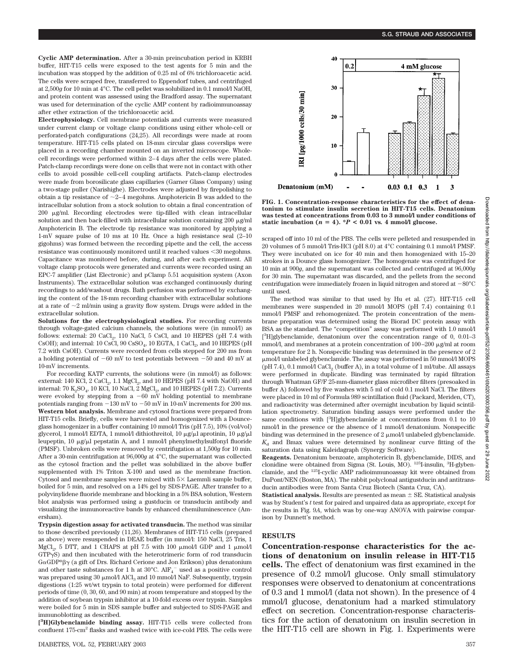**Cyclic AMP determination.** After a 30-min preincubation period in KRBH buffer, HIT-T15 cells were exposed to the test agents for 5 min and the incubation was stopped by the addition of 0.25 ml of 6% trichloroacetic acid. The cells were scraped free, transferred to Eppendorf tubes, and centrifuged at 2,500*g* for 10 min at 4°C. The cell pellet was solubilized in 0.1 mmol/l NaOH, and protein content was assessed using the Bradford assay. The supernatant was used for determination of the cyclic AMP content by radioimmunoassay after ether extraction of the trichloroacetic acid.

**Electrophysiology.** Cell membrane potentials and currents were measured under current clamp or voltage clamp conditions using either whole-cell or perforated-patch configurations (24,25). All recordings were made at room temperature. HIT-T15 cells plated on 18-mm circular glass coverslips were placed in a recording chamber mounted on an inverted microscope. Wholecell recordings were performed within 2–4 days after the cells were plated. Patch-clamp recordings were done on cells that were not in contact with other cells to avoid possible cell-cell coupling artifacts. Patch-clamp electrodes were made from borosilicate glass capillaries (Garner Glass Company) using a two-stage puller (Narishighe). Electrodes were adjusted by firepolishing to obtain a tip resistance of  $\sim$  2–4 megohms. Amphotericin B was added to the intracellular solution from a stock solution to obtain a final concentration of  $200 \mu g/ml$ . Recording electrodes were tip-filled with clean intracellular solution and then back-filled with intracellular solution containing 200  $\mu$ g/ml Amphotericin B. The electrode tip resistance was monitored by applying a 1-mV square pulse of 10 ms at 10 Hz. Once a high resistance seal (2–10 gigohms) was formed between the recording pipette and the cell, the access resistance was continuously monitored until it reached values <30 megohms. Capacitance was monitored before, during, and after each experiment. All voltage clamp protocols were generated and currents were recorded using an EPC-7 amplifier (List Electronic) and pClamp 5.51 acquisition system (Axon Instruments). The extracellular solution was exchanged continuously during recordings to add/washout drugs. Bath perfusion was performed by exchanging the content of the 18-mm recording chamber with extracellular solutions at a rate of  $\sim$ 2 ml/min using a gravity flow system. Drugs were added in the extracellular solution.

**Solutions for the electrophysiological studies.** For recording currents through voltage-gated calcium channels, the solutions were (in mmol/l) as follows: external:  $20 \text{ CaCl}_2$ ,  $110 \text{ NaCl}$ ,  $5 \text{ CsCl}$ , and  $10 \text{ HEPES (pH 7.4 with})$ CsOH); and internal:  $10 \text{ CsCl}$ ,  $90 \text{ CsSO}_4$ ,  $10 \text{ EGTA}$ ,  $1 \text{ CaCl}_2$ , and  $10 \text{ HEPES}$  (pH 7.2 with CsOH). Currents were recorded from cells stepped for 200 ms from a holding potential of  $-60$  mV to test potentials between  $-50$  and 40 mV at 10-mV increments.

For recording KATP currents, the solutions were (in mmol/l) as follows: external: 140 KCl,  $2$  CaCl<sub>2</sub>, 1.1 MgCl<sub>2</sub>, and 10 HEPES (pH 7.4 with NaOH) and internal: 70  $K_2SO_4$ , 10 KCl, 10 NaCl, 2 MgCl<sub>2</sub>, and 10 HEPES (pH 7.2). Currents were evoked by stepping from a  $-60$  mV holding potential to membrane potentials ranging from  $-130$  mV to  $-50$  mV in 10-mV increments for 200 ms. **Western blot analysis.** Membrane and cytosol fractions were prepared from HIT-T15 cells. Briefly, cells were harvested and homogenized with a Dounceglass homogenizer in a buffer containing 10 mmol/l Tris (pH 7.5), 10% (vol/vol) glycerol, 1 mmol/l EDTA, 1 mmol/l dithiothreitol, 10  $\mu$ g/ $\mu$ l aprotinin, 10  $\mu$ g/ $\mu$ l leupeptin,  $10 \mu g/\mu l$  pepstatin A, and 1 mmol/l phenylmethylsulfonyl fluoride (PMSF). Unbroken cells were removed by centrifugation at 1,500*g* for 10 min. After a 30-min centrifugation at 96,000*g* at 4°C, the supernatant was collected as the cytosol fraction and the pellet was solubilized in the above buffer supplemented with 1% Triton X-100 and used as the membrane fraction. Cytosol and membrane samples were mixed with  $5\times$  Laemmli sample buffer, boiled for 5 min, and resolved on a 14% gel by SDS-PAGE. After transfer to a polyvinylidene fluoride membrane and blocking in a 5% BSA solution, Western blot analysis was performed using a gustducin or transducin antibody and visualizing the immunoreactive bands by enhanced chemiluminescence (Amersham).

**Trypsin digestion assay for activated transducin.** The method was similar to those described previously (11,26). Membranes of HIT-T15 cells (prepared as above) were resuspended in DEAE buffer (in mmol/l: 150 NaCl, 25 Tris, 1 MgCl<sub>2</sub>, 5 DTT, and 1 CHAPS at pH 7.5 with 100  $\mu$ mol/l GDP and 1  $\mu$ mol/l GTPS) and then incubated with the heterotrimeric form of rod transducin  $G\alpha GDP^*\beta\gamma$  (a gift of Drs. Richard Cerione and Jon Erikson) plus denatonium and other taste substances for 1 h at 30°C.  $\rm{AlF_4}^-$  used as a positive control was prepared using 30  $\mu$ mol/l AlCl<sub>3</sub> and 10 mmol/l NaF. Subsequently, trypsin digestions (1:25 wt/wt trypsin to total protein) were performed for different periods of time (0, 30, 60, and 90 min) at room temperature and stopped by the addition of soybean trypsin inhibitor at a 10-fold excess over trypsin. Samples were boiled for 5 min in SDS sample buffer and subjected to SDS-PAGE and immunoblotting as described.

**[ 3 H]Glybenclamide binding assay.** HIT-T15 cells were collected from confluent 175-cm<sup>2</sup> flasks and washed twice with ice-cold PBS. The cells were



**FIG. 1. Concentration-response characteristics for the effect of denatonium to stimulate insulin secretion in HIT-T15 cells. Denatonium was tested at concentrations from 0.03 to 3 mmol/l under conditions of** static incubation ( $n = 4$ ). \* $P < 0.01$  vs. 4 mmol/l glucose.

scraped off into 10 ml of the PBS. The cells were pelleted and resuspended in 20 volumes of 5 mmol/l Tris-HCl (pH 8.0) at 4°C containing 0.1 mmol/l PMSF. They were incubated on ice for 40 min and then homogenized with 15–20 strokes in a Dounce glass homogenizer. The homogenate was centrifuged for 10 min at 900*g*, and the supernatant was collected and centrifuged at 96,000*g* for 30 min. The supernatant was discarded, and the pellets from the second centrifugation were immediately frozen in liquid nitrogen and stored at  $-80^{\circ}$ C until used.

The method was similar to that used by Hu et al. (27). HIT-T15 cell membranes were suspended in 20 mmol/l MOPS (pH 7.4) containing 0.1 mmol/l PMSF and rehomogenized. The protein concentration of the membrane preparation was determined using the Biorad DC protein assay with BSA as the standard. The "competition" assay was performed with 1.0 nmol/l [<sup>3</sup>H]glybenclamide, denatonium over the concentration range of 0, 0.01-3 mmol/l, and membranes at a protein concentration of  $100-200$   $\mu$ g/ml at room temperature for 2 h. Nonspecific binding was determined in the presence of 2 mol/l unlabeled glybenclamide. The assay was performed in 50 mmol/l MOPS  $(pH 7.4)$ , 0.1 mmol/l CaCl<sub>2</sub> (buffer A), in a total volume of 1 ml/tube. All assays were performed in duplicate. Binding was terminated by rapid filtration through Whatman GF/F 25-mm-diameter glass microfiber filters (presoaked in buffer A) followed by five washes with 5 ml of cold 0.1 mol/l NaCl. The filters were placed in 10 ml of Formula 989 scintillation fluid (Packard, Meriden, CT), and radioactivity was determined after overnight incubation by liquid scintillation spectrometry. Saturation binding assays were performed under the same conditions with [3H]glybenclamide at concentrations from 0.1 to 10 nmol/l in the presence or the absence of 1 mmol/l denatonium. Nonspecific binding was determined in the presence of  $2 \mu$  mol/l unlabeled glybenclamide.  $K<sub>d</sub>$  and Bmax values were determined by nonlinear curve fitting of the saturation data using Kaleidagraph (Synergy Software).

**Reagents.** Denatonium benzoate, amphotericin B, glybenclamide, DIDS, and clonidine were obtained from Sigma (St. Louis, MO). <sup>125</sup>I-insulin, <sup>3</sup>H-glybenclamide, and the 125I-cyclic AMP radioimmunoassay kit were obtained from DuPont/NEN (Boston, MA). The rabbit polyclonal antigustducin and antitransducin antibodies were from Santa Cruz Biotech (Santa Cruz, CA).

**Statistical analysis.** Results are presented as mean  $\pm$  SE. Statistical analysis was by Student's *t* test for paired and unpaired data as appropriate, except for the results in Fig. 9*A*, which was by one-way ANOVA with pairwise comparison by Dunnett's method.

# **RESULTS**

**Concentration-response characteristics for the actions of denatonium on insulin release in HIT-T15 cells.** The effect of denatonium was first examined in the presence of 0.2 mmol/l glucose. Only small stimulatory responses were observed to denatonium at concentrations of 0.3 and 1 mmol/l (data not shown). In the presence of 4 mmol/l glucose, denatonium had a marked stimulatory effect on secretion. Concentration-response characteristics for the action of denatonium on insulin secretion in the HIT-T15 cell are shown in Fig. 1. Experiments were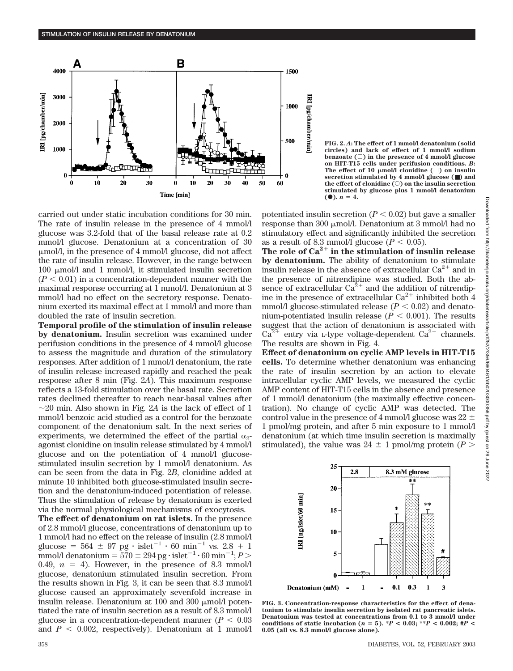

carried out under static incubation conditions for 30 min. The rate of insulin release in the presence of 4 mmol/l glucose was 3.2-fold that of the basal release rate at 0.2 mmol/l glucose. Denatonium at a concentration of 30  $\mu$ mol/l, in the presence of 4 mmol/l glucose, did not affect the rate of insulin release. However, in the range between 100  $\mu$ mol/l and 1 mmol/l, it stimulated insulin secretion  $(P < 0.01)$  in a concentration-dependent manner with the maximal response occurring at 1 mmol/l. Denatonium at 3 mmol/l had no effect on the secretory response. Denatonium exerted its maximal effect at 1 mmol/l and more than doubled the rate of insulin secretion.

**Temporal profile of the stimulation of insulin release by denatonium.** Insulin secretion was examined under perifusion conditions in the presence of 4 mmol/l glucose to assess the magnitude and duration of the stimulatory responses. After addition of 1 mmol/l denatonium, the rate of insulin release increased rapidly and reached the peak response after 8 min (Fig. 2*A*). This maximum response reflects a 13-fold stimulation over the basal rate. Secretion rates declined thereafter to reach near-basal values after  $\sim$ 20 min. Also shown in Fig. 2A is the lack of effect of 1 mmol/l benzoic acid studied as a control for the benzoate component of the denatonium salt. In the next series of experiments, we determined the effect of the partial  $\alpha_2$ agonist clonidine on insulin release stimulated by 4 mmol/l glucose and on the potentiation of 4 mmol/l glucosestimulated insulin secretion by 1 mmol/l denatonium. As can be seen from the data in Fig. 2*B*, clonidine added at minute 10 inhibited both glucose-stimulated insulin secretion and the denatonium-induced potentiation of release. Thus the stimulation of release by denatonium is exerted via the normal physiological mechanisms of exocytosis.

**The effect of denatonium on rat islets.** In the presence of 2.8 mmol/l glucose, concentrations of denatonium up to 1 mmol/l had no effect on the release of insulin (2.8 mmol/l glucose =  $564 \pm 97$  pg · islet<sup>-1</sup> · 60 min<sup>-1</sup> vs. 2.8 + 1 mmol/l denatonium =  $570 \pm 294\,\mathrm{pg\cdot}$  islet $^{-1}\cdot$  60 min $^{-1};P$   $>$ 0.49,  $n = 4$ ). However, in the presence of 8.3 mmol/l glucose, denatonium stimulated insulin secretion. From the results shown in Fig. 3, it can be seen that 8.3 mmol/l glucose caused an approximately sevenfold increase in insulin release. Denatonium at 100 and 300  $\mu$ mol/l potentiated the rate of insulin secretion as a result of 8.3 mmol/l glucose in a concentration-dependent manner  $(P < 0.03)$ and  $P < 0.002$ , respectively). Denatonium at 1 mmol/l

**FIG. 2.** *A***: The effect of 1 mmol/l denatonium (solid circles) and lack of effect of 1 mmol/l sodium benzoate () in the presence of 4 mmol/l glucose on HIT-T15 cells under perifusion conditions.** *B***:** The effect of 10  $\mu$ mol/l clonidine ( $\square$ ) on insulin **secretion stimulated by 4 mmol/l glucose (**■**) and the effect of clonidine (**E**) on the insulin secretion stimulated by glucose plus 1 mmol/l denatonium**  $(①)$ .  $n = 4$ .

potentiated insulin secretion  $(P < 0.02)$  but gave a smaller response than 300  $\mu$ mol/l. Denatonium at 3 mmol/l had no stimulatory effect and significantly inhibited the secretion as a result of 8.3 mmol/l glucose  $(P < 0.05)$ .

**The role of Ca2**- **in the stimulation of insulin release by denatonium.** The ability of denatonium to stimulate insulin release in the absence of extracellular  $Ca^{2+}$  and in the presence of nitrendipine was studied. Both the absence of extracellular  $Ca^{2+}$  and the addition of nitrendipine in the presence of extracellular  $Ca^{2+}$  inhibited both 4 mmol/l glucose-stimulated release  $(P < 0.02)$  and denatonium-potentiated insulin release  $(P < 0.001)$ . The results suggest that the action of denatonium is associated with  $Ca^{2+}$  entry via *L*-type voltage-dependent  $Ca^{2+}$  channels. The results are shown in Fig. 4.

**Effect of denatonium on cyclic AMP levels in HIT-T15 cells.** To determine whether denatonium was enhancing the rate of insulin secretion by an action to elevate intracellular cyclic AMP levels, we measured the cyclic AMP content of HIT-T15 cells in the absence and presence of 1 mmol/l denatonium (the maximally effective concentration). No change of cyclic AMP was detected. The control value in the presence of 4 mmol/l glucose was 22  $\pm$ 1 pmol/mg protein, and after 5 min exposure to 1 mmol/l denatonium (at which time insulin secretion is maximally stimulated), the value was  $24 \pm 1$  pmol/mg protein ( $P >$ 



**FIG. 3. Concentration-response characteristics for the effect of denatonium to stimulate insulin secretion by isolated rat pancreatic islets. Denatonium was tested at concentrations from 0.1 to 3 mmol/l under conditions of static incubation (** $n = 5$ **). \*** $P < 0.03$ **; \*\*** $P < 0.002$ **; #** $P <$ **0.05 (all vs. 8.3 mmol/l glucose alone).**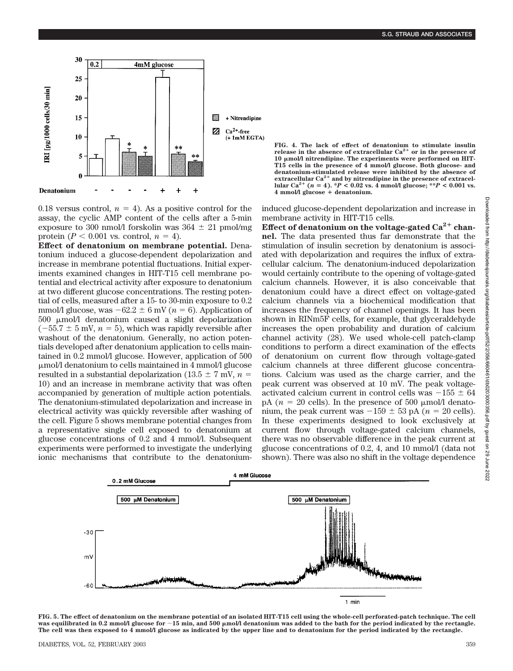

0.18 versus control,  $n = 4$ ). As a positive control for the assay, the cyclic AMP content of the cells after a 5-min exposure to 300 nmol/l forskolin was  $364 \pm 21$  pmol/mg protein ( $P < 0.001$  vs. control,  $n = 4$ ).

**Effect of denatonium on membrane potential.** Denatonium induced a glucose-dependent depolarization and increase in membrane potential fluctuations. Initial experiments examined changes in HIT-T15 cell membrane potential and electrical activity after exposure to denatonium at two different glucose concentrations. The resting potential of cells, measured after a 15- to 30-min exposure to 0.2 mmol/l glucose, was  $-62.2 \pm 6$  mV ( $n = 6$ ). Application of  $500 \mu$ mol/l denatonium caused a slight depolarization  $(-55.7 \pm 5 \text{ mV}, n = 5)$ , which was rapidly reversible after washout of the denatonium. Generally, no action potentials developed after denatonium application to cells maintained in 0.2 mmol/l glucose. However, application of 500 mol/l denatonium to cells maintained in 4 mmol/l glucose resulted in a substantial depolarization ( $13.5 \pm 7$  mV,  $n =$ 10) and an increase in membrane activity that was often accompanied by generation of multiple action potentials. The denatonium-stimulated depolarization and increase in electrical activity was quickly reversible after washing of the cell. Figure 5 shows membrane potential changes from a representative single cell exposed to denatonium at glucose concentrations of 0.2 and 4 mmol/l. Subsequent experiments were performed to investigate the underlying ionic mechanisms that contribute to the denatonium-

**FIG.** 4. The lack of effect of denatonium to stimulate insulin release in the absence of extracellular Ca<sup>2+</sup> or in the presence of **10 mol/l nitrendipine. The experiments were performed on HIT-T15 cells in the presence of 4 mmol/l glucose. Both glucose- and denatonium-stimulated release were inhibited by the absence of extracellular Ca2**- **and by nitrendipine in the presence of extracellular** Ca<sup>2+</sup> ( $n = 4$ ). \**P* < 0.02 vs. 4 mmol/l glucose; \*\**P* < 0.001 vs. **4 mmol/l glucose** - **denatonium.**

induced glucose-dependent depolarization and increase in membrane activity in HIT-T15 cells.

Effect of denatonium on the voltage-gated Ca<sup>2+</sup> chan**nel.** The data presented thus far demonstrate that the stimulation of insulin secretion by denatonium is associated with depolarization and requires the influx of extracellular calcium. The denatonium-induced depolarization would certainly contribute to the opening of voltage-gated calcium channels. However, it is also conceivable that denatonium could have a direct effect on voltage-gated calcium channels via a biochemical modification that increases the frequency of channel openings. It has been shown in RINm5F cells, for example, that glyceraldehyde increases the open probability and duration of calcium channel activity (28). We used whole-cell patch-clamp conditions to perform a direct examination of the effects of denatonium on current flow through voltage-gated calcium channels at three different glucose concentrations. Calcium was used as the charge carrier, and the peak current was observed at 10 mV. The peak voltageactivated calcium current in control cells was  $-155 \pm 64$ pA ( $n = 20$  cells). In the presence of 500  $\mu$ mol/l denatonium, the peak current was  $-159 \pm 53$  pA ( $n = 20$  cells). In these experiments designed to look exclusively at current flow through voltage-gated calcium channels, there was no observable difference in the peak current at glucose concentrations of 0.2, 4, and 10 mmol/l (data not shown). There was also no shift in the voltage dependence



**FIG. 5. The effect of denatonium on the membrane potential of an isolated HIT-T15 cell using the whole-cell perforated-patch technique. The cell was equilibrated in 0.2 mmol/l glucose for 15 min, and 500 mol/l denatonium was added to the bath for the period indicated by the rectangle. The cell was then exposed to 4 mmol/l glucose as indicated by the upper line and to denatonium for the period indicated by the rectangle.**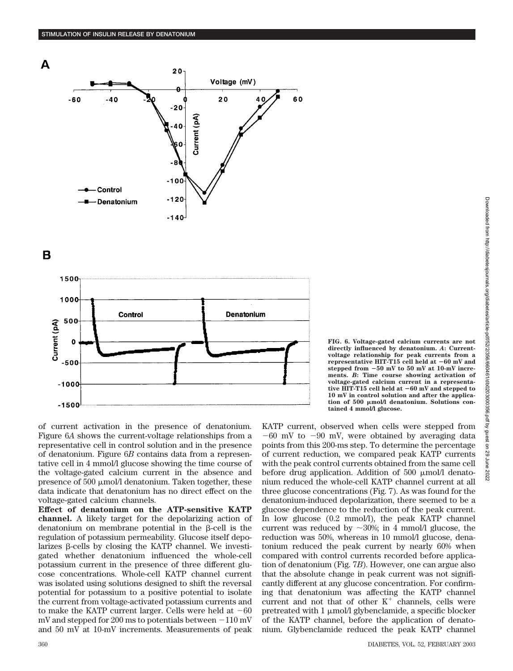

В



**FIG. 6. Voltage-gated calcium currents are not directly influenced by denatonium.** *A***: Currentvoltage relationship for peak currents from a representative HIT-T15 cell held at 60 mV and stepped from 50 mV to 50 mV at 10-mV increments.** *B***: Time course showing activation of voltage-gated calcium current in a representative HIT-T15 cell held at 60 mV and stepped to 10 mV in control solution and after the applica**tion of 500  $\mu$ mol/l denatonium. Solutions con**tained 4 mmol/l glucose.**

of current activation in the presence of denatonium. Figure 6*A* shows the current-voltage relationships from a representative cell in control solution and in the presence of denatonium. Figure 6*B* contains data from a representative cell in 4 mmol/l glucose showing the time course of the voltage-gated calcium current in the absence and presence of  $500 \mu$ mol/l denatonium. Taken together, these data indicate that denatonium has no direct effect on the voltage-gated calcium channels.

**Effect of denatonium on the ATP-sensitive KATP channel.** A likely target for the depolarizing action of denatonium on membrane potential in the  $\beta$ -cell is the regulation of potassium permeability. Glucose itself depolarizes  $\beta$ -cells by closing the KATP channel. We investigated whether denatonium influenced the whole-cell potassium current in the presence of three different glucose concentrations. Whole-cell KATP channel current was isolated using solutions designed to shift the reversal potential for potassium to a positive potential to isolate the current from voltage-activated potassium currents and to make the KATP current larger. Cells were held at  $-60$ mV and stepped for 200 ms to potentials between  $-110$  mV and 50 mV at 10-mV increments. Measurements of peak KATP current, observed when cells were stepped from  $-60$  mV to  $-90$  mV, were obtained by averaging data points from this 200-ms step. To determine the percentage of current reduction, we compared peak KATP currents with the peak control currents obtained from the same cell before drug application. Addition of 500  $\mu$ mol/l denatonium reduced the whole-cell KATP channel current at all three glucose concentrations (Fig. 7). As was found for the denatonium-induced depolarization, there seemed to be a glucose dependence to the reduction of the peak current. In low glucose (0.2 mmol/l), the peak KATP channel current was reduced by  $\sim 30\%$ ; in 4 mmol/l glucose, the reduction was 50%, whereas in 10 mmol/l glucose, denatonium reduced the peak current by nearly 60% when compared with control currents recorded before application of denatonium (Fig. 7*B*). However, one can argue also that the absolute change in peak current was not significantly different at any glucose concentration. For confirming that denatonium was affecting the KATP channel current and not that of other  $K^+$  channels, cells were pretreated with  $1 \mu$ mol/l glybenclamide, a specific blocker of the KATP channel, before the application of denatonium. Glybenclamide reduced the peak KATP channel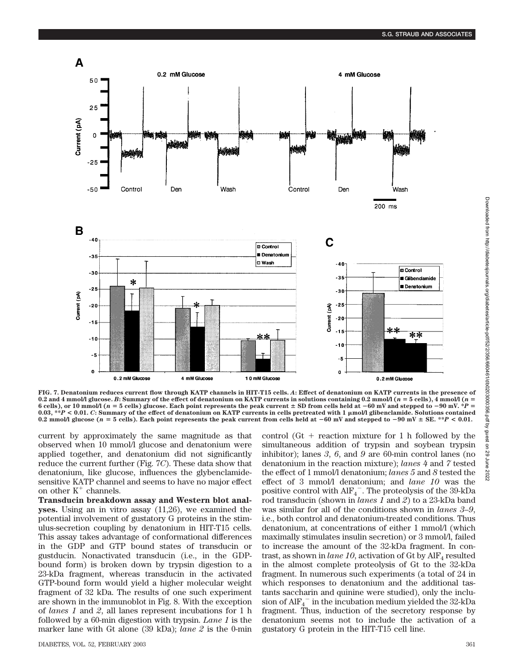

**FIG. 7. Denatonium reduces current flow through KATP channels in HIT-T15 cells.** *A***: Effect of denatonium on KATP currents in the presence of 0.2 and 4 mmol/l glucose.** *B***: Summary of the effect of denatonium on KATP currents in solutions containing 0.2 mmol/l (***n* **5 cells), 4 mmol/l (***n* 6 cells), or 10 mmol/l ( $n = 5$  cells) glucose. Each point represents the peak current  $\pm$  SD from cells held at  $-60$  mV and stepped to  $-90$  mV.  $*P =$ **0.03, \*\****P* **< 0.01.** *C***: Summary of the effect of denatonium on KATP currents in cells pretreated with 1 mol/l glibenclamide. Solutions contained** 0.2 mmol/l glucose ( $n = 5$  cells). Each point represents the peak current from cells held at  $-60$  mV and stepped to  $-90$  mV  $\pm$  SE. \*\* $P < 0.01$ .

current by approximately the same magnitude as that observed when 10 mmol/l glucose and denatonium were applied together, and denatonium did not significantly reduce the current further (Fig. 7*C*). These data show that denatonium, like glucose, influences the glybenclamidesensitive KATP channel and seems to have no major effect on other  $\mathrm{K}^{+}$  channels.

**Transducin breakdown assay and Western blot analyses.** Using an in vitro assay (11,26), we examined the potential involvement of gustatory G proteins in the stimulus-secretion coupling by denatonium in HIT-T15 cells. This assay takes advantage of conformational differences in the GDP and GTP bound states of transducin or gustducin. Nonactivated transducin (i.e., in the GDPbound form) is broken down by trypsin digestion to a 23-kDa fragment, whereas transducin in the activated GTP-bound form would yield a higher molecular weight fragment of 32 kDa. The results of one such experiment are shown in the immunoblot in Fig. 8. With the exception of *lanes 1* and *2*, all lanes represent incubations for 1 h followed by a 60-min digestion with trypsin. *Lane 1* is the marker lane with Gt alone (39 kDa); *lane 2* is the 0-min

control  $(Gt + \text{reaction mixture for 1 h followed by the})$ simultaneous addition of trypsin and soybean trypsin inhibitor); lanes *3*, *6*, and *9* are 60-min control lanes (no denatonium in the reaction mixture); *lanes 4* and *7* tested the effect of 1 mmol/l denatonium; *lanes 5* and *8* tested the effect of 3 mmol/l denatonium; and *lane 10* was the positive control with AlF4 . The proteolysis of the 39-kDa rod transducin (shown in *lanes 1* and *2*) to a 23-kDa band was similar for all of the conditions shown in *lanes 3–9*, i.e., both control and denatonium-treated conditions. Thus denatonium, at concentrations of either 1 mmol/l (which maximally stimulates insulin secretion) or 3 mmol/l, failed to increase the amount of the 32-kDa fragment. In contrast, as shown in *lane 10*, activation of Gt by  $\text{AlF}_4$  resulted in the almost complete proteolysis of Gt to the 32-kDa fragment. In numerous such experiments (a total of 24 in which responses to denatonium and the additional tastants saccharin and quinine were studied), only the inclusion of  $\mathrm{AlF_4}^-$  in the incubation medium yielded the 32-kDa fragment. Thus, induction of the secretory response by denatonium seems not to include the activation of a gustatory G protein in the HIT-T15 cell line.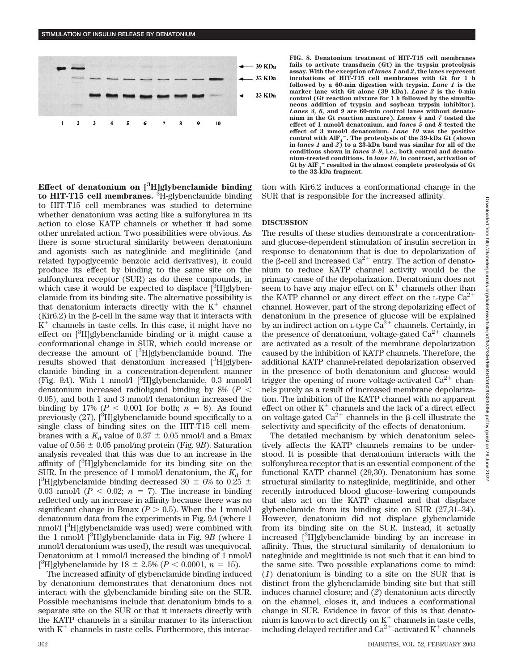**STIMULATION OF INSULIN RELEASE BY DENATONIUM**



**Effect of denatonium on [3 H]glybenclamide binding to HIT-T15 cell membranes.** <sup>3</sup> H-glybenclamide binding to HIT-T15 cell membranes was studied to determine whether denatonium was acting like a sulfonylurea in its action to close KATP channels or whether it had some other unrelated action. Two possibilities were obvious. As there is some structural similarity between denatonium and agonists such as nateglinide and meglitinide (and related hypoglycemic benzoic acid derivatives), it could produce its effect by binding to the same site on the sulfonylurea receptor (SUR) as do these compounds, in which case it would be expected to displace [3H]glybenclamide from its binding site. The alternative possibility is that denatonium interacts directly with the  $K^+$  channel  $(Kir6.2)$  in the  $\beta$ -cell in the same way that it interacts with  $\tilde{K}^+$  channels in taste cells. In this case, it might have no effect on [<sup>3</sup>H]glybenclamide binding or it might cause a conformational change in SUR, which could increase or decrease the amount of [3H]glybenclamide bound. The results showed that denatonium increased  $[3H]$ glybenclamide binding in a concentration-dependent manner (Fig. 9A). With 1 nmol/l [<sup>3</sup>H]glybenclamide, 0.3 mmol/l denatonium increased radioligand binding by 8% (*P* 0.05), and both 1 and 3 mmol/l denatonium increased the binding by 17% ( $P < 0.001$  for both;  $n = 8$ ). As found previously (27), [<sup>3</sup>H]glybenclamide bound specifically to a single class of binding sites on the HIT-T15 cell membranes with a  $K_d$  value of  $0.37 \pm 0.05$  nmol/l and a Bmax value of  $0.56 \pm 0.05$  pmol/mg protein (Fig. 9*B*). Saturation analysis revealed that this was due to an increase in the affinity of [3 H]glybenclamide for its binding site on the SUR. In the presence of 1 mmol/l denatonium, the  $K_d$  for [<sup>3</sup>H]glybenclamide binding decreased 30  $\pm$  6% to 0.25  $\pm$ 0.03 nmol/l ( $P < 0.02$ ;  $n = 7$ ). The increase in binding reflected only an increase in affinity because there was no significant change in Bmax  $(P > 0.5)$ . When the 1 mmol/l denatonium data from the experiments in Fig. 9*A* (where 1 nmol/l [<sup>3</sup>H]glybenclamide was used) were combined with the 1 nmol/l  $[{}^{3}H]$ glybenclamide data in Fig. 9*B* (where 1 mmol/l denatonium was used), the result was unequivocal. Denatonium at 1 mmol/l increased the binding of 1 nmol/l [<sup>3</sup>H]glybenclamide by  $18 \pm 2.5\%$  ( $P < 0.0001$ ,  $n = 15$ ).

The increased affinity of glybenclamide binding induced by denatonium demonstrates that denatonium does not interact with the glybenclamide binding site on the SUR. Possible mechanisms include that denatonium binds to a separate site on the SUR or that it interacts directly with the KATP channels in a similar manner to its interaction with  $K^+$  channels in taste cells. Furthermore, this interac-

**DISCUSSION** The results of these studies demonstrate a concentrationand glucose-dependent stimulation of insulin secretion in response to denatonium that is due to depolarization of the  $\beta$ -cell and increased Ca<sup>2+</sup> entry. The action of denatonium to reduce KATP channel activity would be the primary cause of the depolarization. Denatonium does not seem to have any major effect on  $K^+$  channels other than the KATP channel or any direct effect on the L-type  $Ca^{2+}$ channel. However, part of the strong depolarizing effect of denatonium in the presence of glucose will be explained by an indirect action on L-type  $\tilde{Ca}^{2+}$  channels. Certainly, in the presence of denatonium, voltage-gated  $Ca^{2+}$  channels are activated as a result of the membrane depolarization caused by the inhibition of KATP channels. Therefore, the additional KATP channel-related depolarization observed in the presence of both denatonium and glucose would trigger the opening of more voltage-activated  $Ca^{2+}$  channels purely as a result of increased membrane depolarization. The inhibition of the KATP channel with no apparent effect on other  $K^+$  channels and the lack of a direct effect on voltage-gated  $Ca^{2+}$  channels in the  $\beta$ -cell illustrate the selectivity and specificity of the effects of denatonium. The detailed mechanism by which denatonium selec-

tively affects the KATP channels remains to be understood. It is possible that denatonium interacts with the sulfonylurea receptor that is an essential component of the functional KATP channel (29,30). Denatonium has some structural similarity to nateglinide, meglitinide, and other recently introduced blood glucose–lowering compounds that also act on the KATP channel and that displace glybenclamide from its binding site on SUR (27,31–34). However, denatonium did not displace glybenclamide from its binding site on the SUR. Instead, it actually increased [3 H]glybenclamide binding by an increase in affinity. Thus, the structural similarity of denatonium to nateglinide and meglitinide is not such that it can bind to the same site. Two possible explanations come to mind: (*1*) denatonium is binding to a site on the SUR that is distinct from the glybenclamide binding site but that still induces channel closure; and (*2*) denatonium acts directly on the channel, closes it, and induces a conformational change in SUR. Evidence in favor of this is that denatonium is known to act directly on  $K^+$  channels in taste cells, including delayed rectifier and Ca<sup>2+</sup>-activated K<sup>+</sup> channels

**FIG. 8. Denatonium treatment of HIT-T15 cell membranes fails to activate transducin (Gt) in the trypsin proteolysis assay. With the exception of** *lanes 1* **and** *2***, the lanes represent incubations of HIT-T15 cell membranes with Gt for 1 h followed by a 60-min digestion with trypsin.** *Lane 1* **is the marker lane with Gt alone (39 kDa).** *Lane 2* **is the 0-min control (Gt reaction mixture for 1 h followed by the simultaneous addition of trypsin and soybean trypsin inhibitor).** *Lanes 3, 6,* **and** *9* **are 60-min control lanes without denatonium in the Gt reaction mixture).** *Lanes 4* **and** *7* **tested the effect of 1 mmol/l denatonium, and** *lanes 5* **and** *8* **tested the effect of 3 mmol/l denatonium.** *Lane 10* **was the positive control with AlF4 . The proteolysis of the 39-kDa Gt (shown in** *lanes 1* **and** *2***) to a 23-kDa band was similar for all of the conditions shown in** *lanes 3–9***, i.e., both control and denatonium-treated conditions. In** *lane 10***, in contrast, activation of Gt by AlF4 resulted in the almost complete proteolysis of Gt to the 32-kDa fragment.**

tion with Kir6.2 induces a conformational change in the SUR that is responsible for the increased affinity.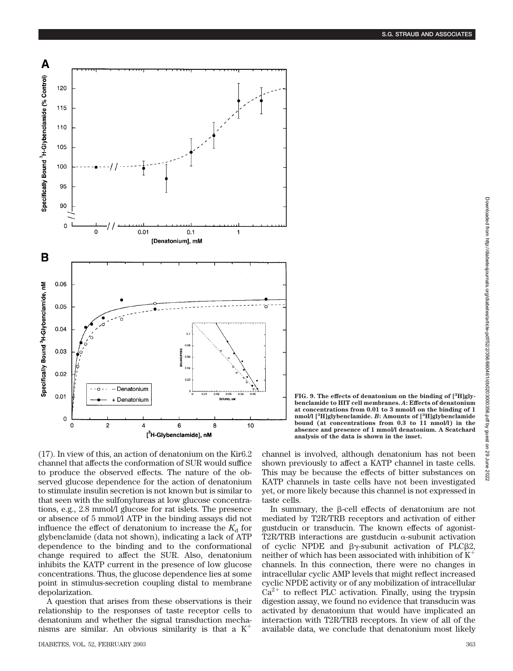

(17). In view of this, an action of denatonium on the Kir6.2 channel that affects the conformation of SUR would suffice to produce the observed effects. The nature of the observed glucose dependence for the action of denatonium to stimulate insulin secretion is not known but is similar to that seen with the sulfonylureas at low glucose concentrations, e.g., 2.8 mmol/l glucose for rat islets. The presence or absence of 5 mmol/l ATP in the binding assays did not influence the effect of denatonium to increase the  $K_d$  for glybenclamide (data not shown), indicating a lack of ATP dependence to the binding and to the conformational change required to affect the SUR. Also, denatonium inhibits the KATP current in the presence of low glucose concentrations. Thus, the glucose dependence lies at some point in stimulus-secretion coupling distal to membrane depolarization.

A question that arises from these observations is their relationship to the responses of taste receptor cells to denatonium and whether the signal transduction mechanisms are similar. An obvious similarity is that a  $K^+$ 

DIABETES, VOL. 52, FEBRUARY 2003 363

channel is involved, although denatonium has not been shown previously to affect a KATP channel in taste cells. This may be because the effects of bitter substances on KATP channels in taste cells have not been investigated **bound (at concentrations from 0.3 to 11 nmol/l) in the absence and presence of 1 mmol/l denatonium. A Scatchard analysis of the data is shown in the inset.**

**FIG. 9. The effects of denatonium on the binding of [<sup>3</sup> H]glybenclamide to HIT cell membranes.** *A***: Effects of denatonium at concentrations from 0.01 to 3 mmol/l on the binding of 1 nmol/l [<sup>3</sup> H]glybenclamide.** *B***: Amounts of [3 H]glybenclamide**

yet, or more likely because this channel is not expressed in

taste cells. In summary, the  $\beta$ -cell effects of denatonium are not mediated by T2R/TRB receptors and activation of either gustducin or transducin. The known effects of agonist-T2R/TRB interactions are gustducin  $\alpha$ -subunit activation of cyclic NPDE and  $\beta\gamma$ -subunit activation of PLC $\beta$ 2, neither of which has been associated with inhibition of  $K^+$ channels. In this connection, there were no changes in intracellular cyclic AMP levels that might reflect increased cyclic NPDE activity or of any mobilization of intracellular  $Ca<sup>2+</sup>$  to reflect PLC activation. Finally, using the trypsin digestion assay, we found no evidence that transducin was activated by denatonium that would have implicated an interaction with T2R/TRB receptors. In view of all of the available data, we conclude that denatonium most likely